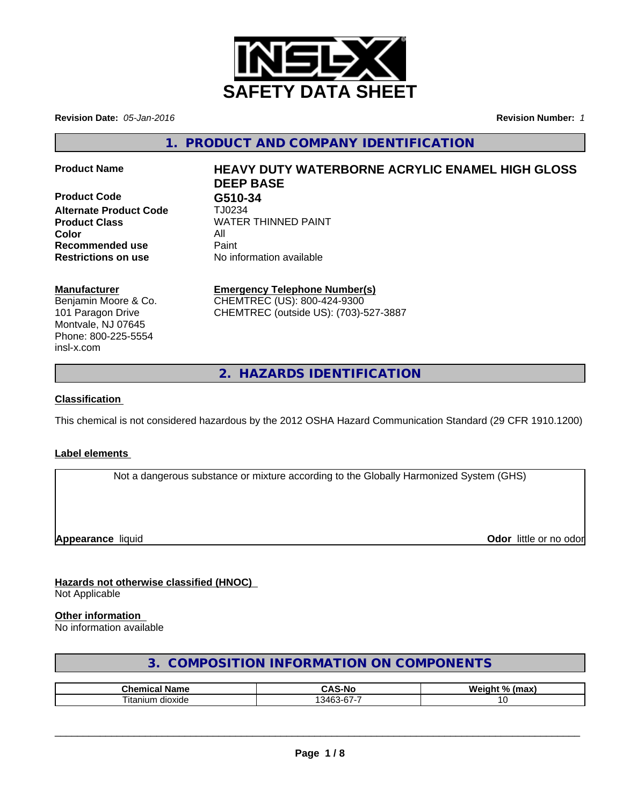

**Revision Date:** *05-Jan-2016* **Revision Number:** *1*

**1. PRODUCT AND COMPANY IDENTIFICATION**

**Product Code G510-34 Alternate Product Code** TJ0234 **Color** All **Recommended use Paint Restrictions on use** No information available

# **Product Name HEAVY DUTY WATERBORNE ACRYLIC ENAMEL HIGH GLOSS DEEP BASE**

**Product Class** WATER THINNED PAINT

### **Manufacturer**

Benjamin Moore & Co. 101 Paragon Drive Montvale, NJ 07645 Phone: 800-225-5554 insl-x.com

## **Emergency Telephone Number(s)**

CHEMTREC (US): 800-424-9300 CHEMTREC (outside US): (703)-527-3887

**2. HAZARDS IDENTIFICATION**

## **Classification**

This chemical is not considered hazardous by the 2012 OSHA Hazard Communication Standard (29 CFR 1910.1200)

## **Label elements**

Not a dangerous substance or mixture according to the Globally Harmonized System (GHS)

**Appearance** liquid **Odor in the original of the original of the original of the original of the original of the original of the original of the original of the original of the original of the original of the original of t** 

#### **Hazards not otherwise classified (HNOC)** Not Applicable

## **Other information**

No information available

## **3. COMPOSITION INFORMATION ON COMPONENTS**

| ™hom.<br>Nam⊾            | -Nc<br>        | <b>W</b><br>$^{\circ}$<br>. .<br>----<br>ш |
|--------------------------|----------------|--------------------------------------------|
| --<br>dioxide<br>⊣tanıun | $\sim$<br>.34F |                                            |

 $\overline{\phantom{a}}$  ,  $\overline{\phantom{a}}$  ,  $\overline{\phantom{a}}$  ,  $\overline{\phantom{a}}$  ,  $\overline{\phantom{a}}$  ,  $\overline{\phantom{a}}$  ,  $\overline{\phantom{a}}$  ,  $\overline{\phantom{a}}$  ,  $\overline{\phantom{a}}$  ,  $\overline{\phantom{a}}$  ,  $\overline{\phantom{a}}$  ,  $\overline{\phantom{a}}$  ,  $\overline{\phantom{a}}$  ,  $\overline{\phantom{a}}$  ,  $\overline{\phantom{a}}$  ,  $\overline{\phantom{a}}$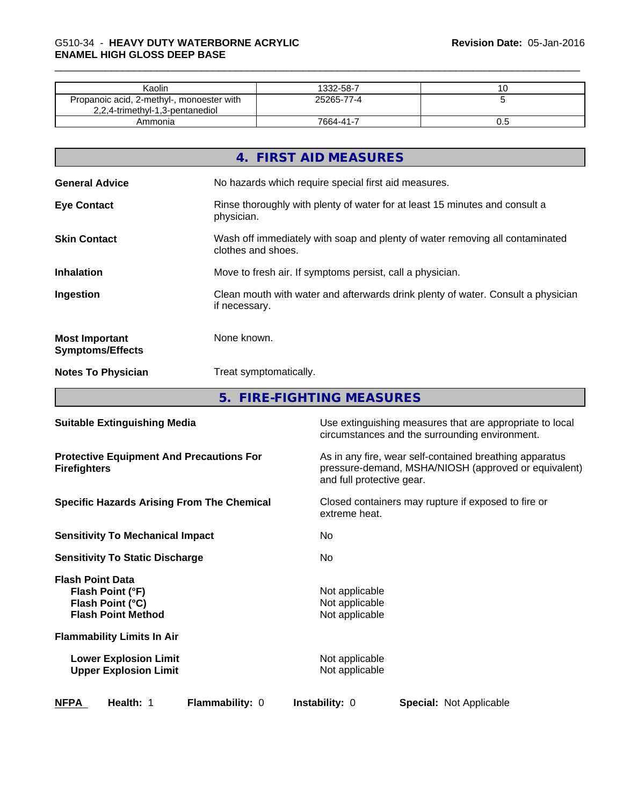| Kaolin                                                                       | 1332-58-7  |     |
|------------------------------------------------------------------------------|------------|-----|
| Propanoic acid, 2-methyl-, monoester with<br>2,2,4-trimethyl-1,3-pentanediol | 25265-77-4 |     |
| Ammonia                                                                      | 7664-41-7  | v.J |

|                                                  | 4. FIRST AID MEASURES                                                                              |
|--------------------------------------------------|----------------------------------------------------------------------------------------------------|
| <b>General Advice</b>                            | No hazards which require special first aid measures.                                               |
| <b>Eye Contact</b>                               | Rinse thoroughly with plenty of water for at least 15 minutes and consult a<br>physician.          |
| <b>Skin Contact</b>                              | Wash off immediately with soap and plenty of water removing all contaminated<br>clothes and shoes. |
| <b>Inhalation</b>                                | Move to fresh air. If symptoms persist, call a physician.                                          |
| Ingestion                                        | Clean mouth with water and afterwards drink plenty of water. Consult a physician<br>if necessary.  |
| <b>Most Important</b><br><b>Symptoms/Effects</b> | None known.                                                                                        |
| <b>Notes To Physician</b>                        | Treat symptomatically.                                                                             |
|                                                  | 5. FIRE-FIGHTING MEASURES                                                                          |

| Health: 1<br>Flammability: 0<br><b>NFPA</b>                                                  | <b>Instability: 0</b><br><b>Special: Not Applicable</b>                                                                                      |  |  |  |
|----------------------------------------------------------------------------------------------|----------------------------------------------------------------------------------------------------------------------------------------------|--|--|--|
| <b>Lower Explosion Limit</b><br><b>Upper Explosion Limit</b>                                 | Not applicable<br>Not applicable                                                                                                             |  |  |  |
| <b>Flammability Limits In Air</b>                                                            |                                                                                                                                              |  |  |  |
| <b>Flash Point Data</b><br>Flash Point (°F)<br>Flash Point (°C)<br><b>Flash Point Method</b> | Not applicable<br>Not applicable<br>Not applicable                                                                                           |  |  |  |
| <b>Sensitivity To Static Discharge</b>                                                       | No.                                                                                                                                          |  |  |  |
| <b>Sensitivity To Mechanical Impact</b>                                                      | No                                                                                                                                           |  |  |  |
| <b>Specific Hazards Arising From The Chemical</b>                                            | Closed containers may rupture if exposed to fire or<br>extreme heat.                                                                         |  |  |  |
| <b>Protective Equipment And Precautions For</b><br><b>Firefighters</b>                       | As in any fire, wear self-contained breathing apparatus<br>pressure-demand, MSHA/NIOSH (approved or equivalent)<br>and full protective gear. |  |  |  |
| <b>Suitable Extinguishing Media</b>                                                          | Use extinguishing measures that are appropriate to local<br>circumstances and the surrounding environment.                                   |  |  |  |
|                                                                                              |                                                                                                                                              |  |  |  |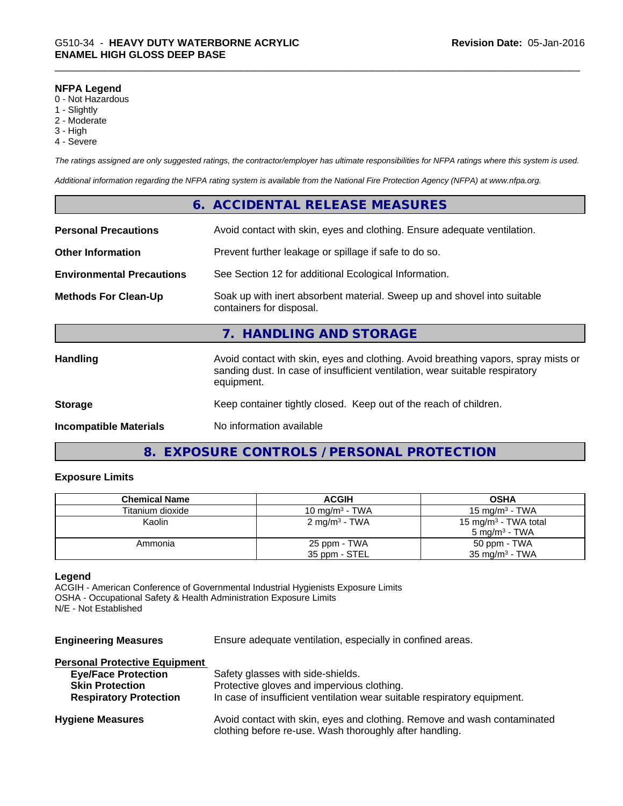#### **NFPA Legend**

- 0 Not Hazardous
- 1 Slightly
- 2 Moderate
- 3 High
- 4 Severe

*The ratings assigned are only suggested ratings, the contractor/employer has ultimate responsibilities for NFPA ratings where this system is used.*

*Additional information regarding the NFPA rating system is available from the National Fire Protection Agency (NFPA) at www.nfpa.org.*

|                                  | 6. ACCIDENTAL RELEASE MEASURES                                                                                                                                                   |
|----------------------------------|----------------------------------------------------------------------------------------------------------------------------------------------------------------------------------|
| <b>Personal Precautions</b>      | Avoid contact with skin, eyes and clothing. Ensure adequate ventilation.                                                                                                         |
| <b>Other Information</b>         | Prevent further leakage or spillage if safe to do so.                                                                                                                            |
| <b>Environmental Precautions</b> | See Section 12 for additional Ecological Information.                                                                                                                            |
| <b>Methods For Clean-Up</b>      | Soak up with inert absorbent material. Sweep up and shovel into suitable<br>containers for disposal.                                                                             |
|                                  | 7. HANDLING AND STORAGE                                                                                                                                                          |
| Handling                         | Avoid contact with skin, eyes and clothing. Avoid breathing vapors, spray mists or<br>sanding dust. In case of insufficient ventilation, wear suitable respiratory<br>equipment. |
| <b>Storage</b>                   | Keep container tightly closed. Keep out of the reach of children.                                                                                                                |
| <b>Incompatible Materials</b>    | No information available                                                                                                                                                         |

## **8. EXPOSURE CONTROLS / PERSONAL PROTECTION**

#### **Exposure Limits**

| <b>Chemical Name</b> | <b>ACGIH</b>             | <b>OSHA</b>                      |
|----------------------|--------------------------|----------------------------------|
| Titanium dioxide     | 10 mg/m $3$ - TWA        | 15 mg/m $3$ - TWA                |
| Kaolin               | $2 \text{ mg/m}^3$ - TWA | 15 mg/m <sup>3</sup> - TWA total |
|                      |                          | $5 \text{ ma/m}^3$ - TWA         |
| Ammonia              | 25 ppm - TWA             | 50 ppm - TWA                     |
|                      | 35 ppm - STEL            | $35 \text{ mg/m}^3$ - TWA        |

#### **Legend**

ACGIH - American Conference of Governmental Industrial Hygienists Exposure Limits OSHA - Occupational Safety & Health Administration Exposure Limits N/E - Not Established

**Engineering Measures** Ensure adequate ventilation, especially in confined areas.

| <b>Personal Protective Equipment</b> |                                                                                                                                     |
|--------------------------------------|-------------------------------------------------------------------------------------------------------------------------------------|
| <b>Eye/Face Protection</b>           | Safety glasses with side-shields.                                                                                                   |
| <b>Skin Protection</b>               | Protective gloves and impervious clothing.                                                                                          |
| <b>Respiratory Protection</b>        | In case of insufficient ventilation wear suitable respiratory equipment.                                                            |
| <b>Hygiene Measures</b>              | Avoid contact with skin, eyes and clothing. Remove and wash contaminated<br>clothing before re-use. Wash thoroughly after handling. |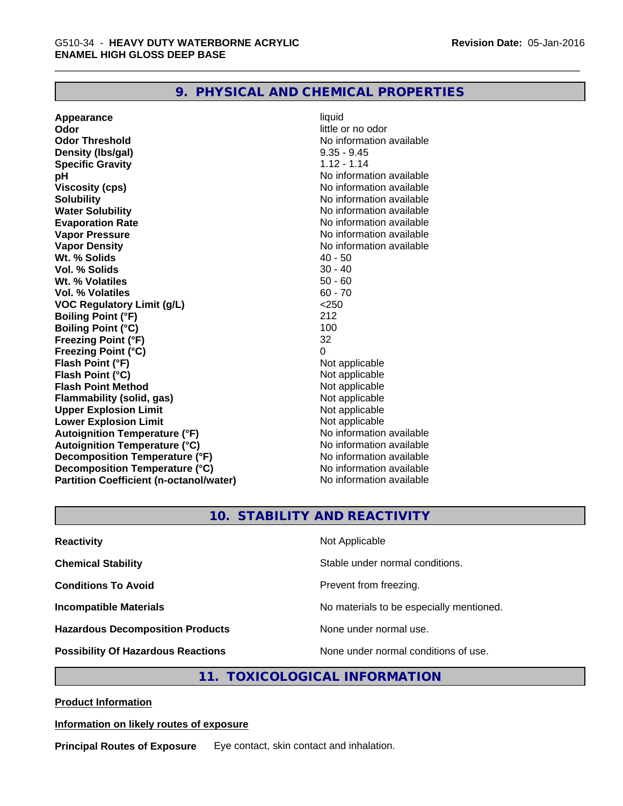## **9. PHYSICAL AND CHEMICAL PROPERTIES**

**Appearance** liquid **Odor** little or no odor **Odor Threshold No information available No information available Density (Ibs/gal)** 9.35 - 9.45 **Specific Gravity** 1.12 - 1.14 **pH** No information available **Viscosity (cps)** No information available **Solubility Note 2008 Note 2008 Note 2008 Note 2008 Note 2008 Note 2008 Note 2008 Note 2008 Note 2008 Note 2008 Note 2008 Note 2008 Note 2008 Note 2008 Note 2008 Note 2008 Note 2008 Note Water Solubility Water Solubility No information available Evaporation Rate No information available No information available Vapor Pressure** No information available **Vapor Density Vapor Density No information available Wt. % Solids** 40 - 50<br> **Vol. % Solids** 30 - 40 **Vol. % Solids** 30 - 40 **Wt. % Volatiles Vol. % Volatiles** 60 - 70 **VOC Regulatory Limit (g/L)** <250 **Boiling Point (°F)** 212 **Boiling Point (°C)** 100<br> **Preezing Point (°F)** 32 **Freezing Point (°F) Freezing Point (°C)** 0 **Flash Point (°F)**<br> **Flash Point (°C)**<br> **Flash Point (°C)**<br> **C Flash Point (°C)**<br> **Flash Point Method**<br> **Flash Point Method**<br> **Point Method**<br> **Point Method**<br> **Point Method Flash Point Method Flammability (solid, gas)** Not applicable<br> **Upper Explosion Limit** Not applicable<br>
Not applicable **Upper Explosion Limit Lower Explosion Limit Contract Accord Accord Accord Accord Accord Accord Accord Accord Accord Accord Accord Accord Accord Accord Accord Accord Accord Accord Accord Accord Accord Accord Accord Accord Accord Accord Accord Autoignition Temperature (°F)**<br> **Autoignition Temperature (°C)** No information available **Autoignition Temperature (°C) Decomposition Temperature (°F)** No information available **Decomposition Temperature (°C)** No information available<br> **Partition Coefficient (n-octanol/water)** No information available **Partition Coefficient (n-octanol/water)** 

## **10. STABILITY AND REACTIVITY**

| <b>Reactivity</b>                         | Not Applicable                           |
|-------------------------------------------|------------------------------------------|
| <b>Chemical Stability</b>                 | Stable under normal conditions.          |
| <b>Conditions To Avoid</b>                | Prevent from freezing.                   |
| <b>Incompatible Materials</b>             | No materials to be especially mentioned. |
| <b>Hazardous Decomposition Products</b>   | None under normal use.                   |
| <b>Possibility Of Hazardous Reactions</b> | None under normal conditions of use.     |

## **11. TOXICOLOGICAL INFORMATION**

**Product Information**

#### **Information on likely routes of exposure**

**Principal Routes of Exposure** Eye contact, skin contact and inhalation.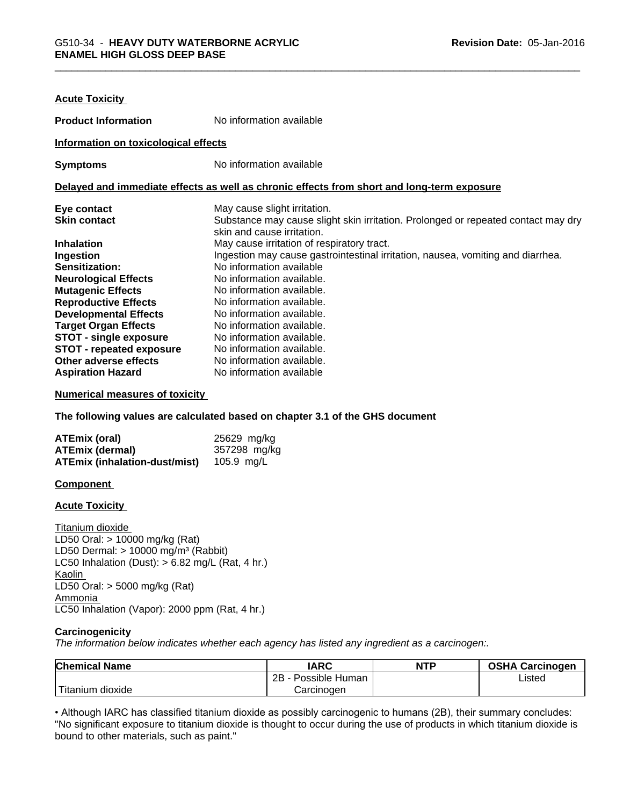| <b>Acute Toxicity</b>                |                                                                                            |
|--------------------------------------|--------------------------------------------------------------------------------------------|
| <b>Product Information</b>           | No information available                                                                   |
| Information on toxicological effects |                                                                                            |
| <b>Symptoms</b>                      | No information available                                                                   |
|                                      | Delayed and immediate effects as well as chronic effects from short and long-term exposure |
| Eye contact                          | May cause slight irritation.                                                               |
| <b>Skin contact</b>                  | Substance may cause slight skin irritation. Prolonged or repeated contact may dry          |
|                                      | skin and cause irritation.                                                                 |
| <b>Inhalation</b>                    | May cause irritation of respiratory tract.                                                 |
| Ingestion                            | Ingestion may cause gastrointestinal irritation, nausea, vomiting and diarrhea.            |
| <b>Sensitization:</b>                | No information available                                                                   |
| <b>Neurological Effects</b>          | No information available.                                                                  |
| <b>Mutagenic Effects</b>             | No information available.                                                                  |
| <b>Reproductive Effects</b>          | No information available.                                                                  |
| <b>Developmental Effects</b>         | No information available.                                                                  |
| <b>Target Organ Effects</b>          | No information available.                                                                  |
| STOT - single exposure               | No information available.                                                                  |
| <b>STOT - repeated exposure</b>      | No information available.                                                                  |
| Other adverse effects                | No information available.                                                                  |
| <b>Aspiration Hazard</b>             | No information available                                                                   |

#### **Numerical measures of toxicity**

**The following values are calculated based on chapter 3.1 of the GHS document**

| ATEmix (oral)                        | 25629 mg/kg  |
|--------------------------------------|--------------|
| <b>ATEmix (dermal)</b>               | 357298 mg/kg |
| <b>ATEmix (inhalation-dust/mist)</b> | 105.9 mg/L   |

#### **Component**

**Acute Toxicity** 

Titanium dioxide LD50 Oral: > 10000 mg/kg (Rat) LD50 Dermal:  $> 10000$  mg/m<sup>3</sup> (Rabbit) LC50 Inhalation (Dust):  $> 6.82$  mg/L (Rat, 4 hr.) Kaolin LD50 Oral: > 5000 mg/kg (Rat) Ammonia LC50 Inhalation (Vapor): 2000 ppm (Rat, 4 hr.)

#### **Carcinogenicity**

*The information below indicateswhether each agency has listed any ingredient as a carcinogen:.*

| <b>Chemical Name</b>         | <b>IARC</b>          | <b>NTP</b> | <b>OSHA Carcinogen</b> |
|------------------------------|----------------------|------------|------------------------|
|                              | 2B<br>Possible Human |            | Listed                 |
| $-1$<br>dioxide<br>l itanıum | Carcinogen           |            |                        |

• Although IARC has classified titanium dioxide as possibly carcinogenic to humans (2B), their summary concludes: "No significant exposure to titanium dioxide is thought to occur during the use of products in which titanium dioxide is bound to other materials, such as paint."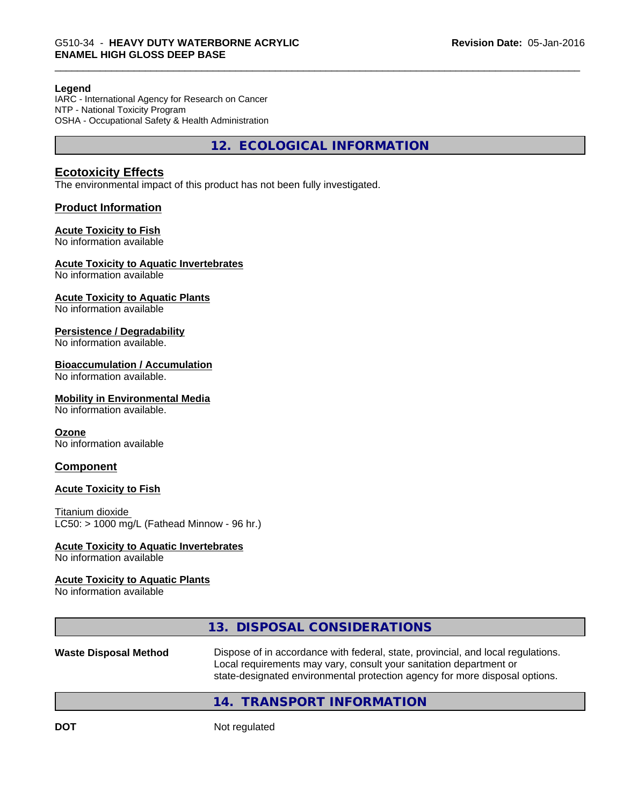#### **Legend**

IARC - International Agency for Research on Cancer NTP - National Toxicity Program OSHA - Occupational Safety & Health Administration

**12. ECOLOGICAL INFORMATION**

## **Ecotoxicity Effects**

The environmental impact of this product has not been fully investigated.

## **Product Information**

#### **Acute Toxicity to Fish**

No information available

#### **Acute Toxicity to Aquatic Invertebrates**

No information available

#### **Acute Toxicity to Aquatic Plants**

No information available

#### **Persistence / Degradability**

No information available.

#### **Bioaccumulation / Accumulation**

No information available.

#### **Mobility in Environmental Media**

No information available.

#### **Ozone**

No information available

#### **Component**

#### **Acute Toxicity to Fish**

Titanium dioxide  $LC50:$  > 1000 mg/L (Fathead Minnow - 96 hr.)

#### **Acute Toxicity to Aquatic Invertebrates**

No information available

#### **Acute Toxicity to Aquatic Plants**

No information available

## **13. DISPOSAL CONSIDERATIONS**

**Waste Disposal Method** Dispose of in accordance with federal, state, provincial, and local regulations. Local requirements may vary, consult your sanitation department or state-designated environmental protection agency for more disposal options.

## **14. TRANSPORT INFORMATION**

**DOT** Not regulated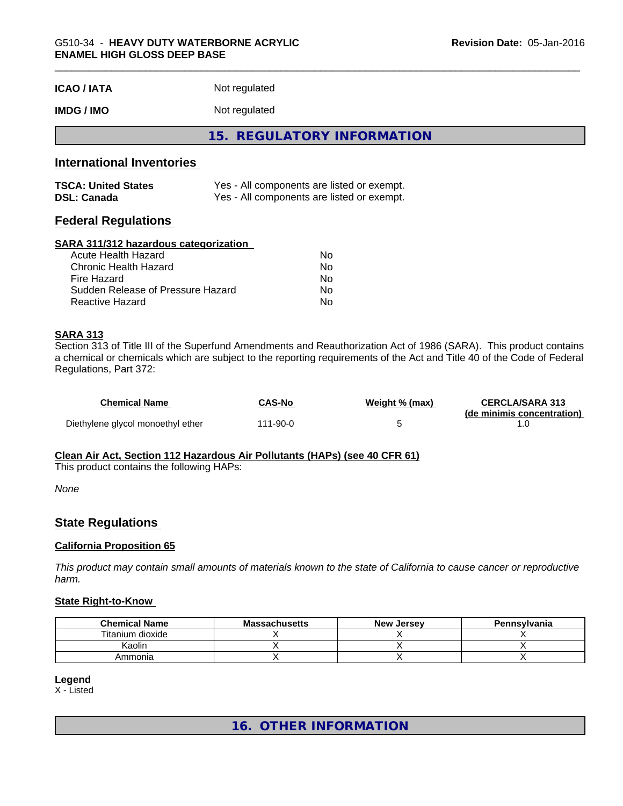| <b>ICAO/IATA</b> | Not regulated |  |
|------------------|---------------|--|
|------------------|---------------|--|

## **IMDG / IMO** Not regulated

**15. REGULATORY INFORMATION**

## **International Inventories**

| <b>TSCA: United States</b> | Yes - All components are listed or exempt. |
|----------------------------|--------------------------------------------|
| <b>DSL: Canada</b>         | Yes - All components are listed or exempt. |

## **Federal Regulations**

#### **SARA 311/312 hazardous categorization**

| Acute Health Hazard               | No. |  |
|-----------------------------------|-----|--|
| Chronic Health Hazard             | Nο  |  |
| Fire Hazard                       | N٥  |  |
| Sudden Release of Pressure Hazard | Nο  |  |
| Reactive Hazard                   | Nο  |  |

#### **SARA 313**

Section 313 of Title III of the Superfund Amendments and Reauthorization Act of 1986 (SARA). This product contains a chemical or chemicals which are subject to the reporting requirements of the Act and Title 40 of the Code of Federal Regulations, Part 372:

| Chemical Name                     | <b>CAS-No</b> | Weight % (max) | <b>CERCLA/SARA 313</b><br>(de minimis concentration) |
|-----------------------------------|---------------|----------------|------------------------------------------------------|
| Diethylene glycol monoethyl ether | 111-90-0      |                |                                                      |

#### **Clean Air Act,Section 112 Hazardous Air Pollutants (HAPs) (see 40 CFR 61)**

This product contains the following HAPs:

*None*

## **State Regulations**

#### **California Proposition 65**

This product may contain small amounts of materials known to the state of California to cause cancer or reproductive *harm.*

#### **State Right-to-Know**

| <b>Chemical Name</b> | <b>Massachusetts</b> | <b>New Jersey</b> | Pennsvlvania |
|----------------------|----------------------|-------------------|--------------|
| Titanium dioxide     |                      |                   |              |
| Kaolin               |                      |                   |              |
| Ammonia              |                      |                   |              |

#### **Legend**

X - Listed

**16. OTHER INFORMATION**